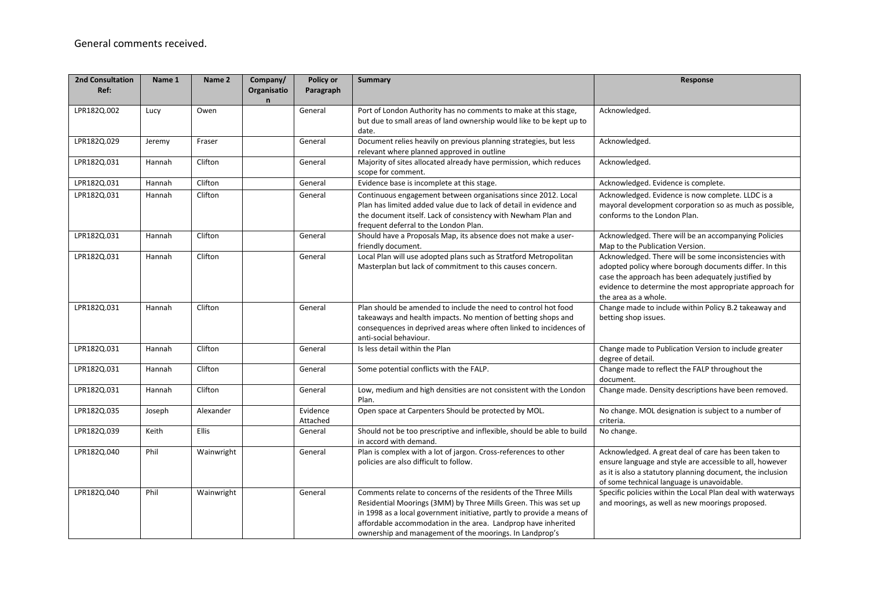| <b>2nd Consultation</b><br>Ref: | Name 1 | Name 2       | Company/<br>Organisatio<br>$\mathsf{n}$ | Policy or<br>Paragraph | Summary                                                                                                                                                                                                                                                                                                                                   | Response                                                                                                                                                                                                                                                 |
|---------------------------------|--------|--------------|-----------------------------------------|------------------------|-------------------------------------------------------------------------------------------------------------------------------------------------------------------------------------------------------------------------------------------------------------------------------------------------------------------------------------------|----------------------------------------------------------------------------------------------------------------------------------------------------------------------------------------------------------------------------------------------------------|
| LPR182Q.002                     | Lucy   | Owen         |                                         | General                | Port of London Authority has no comments to make at this stage,<br>but due to small areas of land ownership would like to be kept up to<br>date.                                                                                                                                                                                          | Acknowledged.                                                                                                                                                                                                                                            |
| LPR182Q.029                     | Jeremy | Fraser       |                                         | General                | Document relies heavily on previous planning strategies, but less<br>relevant where planned approved in outline                                                                                                                                                                                                                           | Acknowledged.                                                                                                                                                                                                                                            |
| LPR182Q.031                     | Hannah | Clifton      |                                         | General                | Majority of sites allocated already have permission, which reduces<br>scope for comment.                                                                                                                                                                                                                                                  | Acknowledged.                                                                                                                                                                                                                                            |
| LPR182Q.031                     | Hannah | Clifton      |                                         | General                | Evidence base is incomplete at this stage.                                                                                                                                                                                                                                                                                                | Acknowledged. Evidence is complete.                                                                                                                                                                                                                      |
| LPR182Q.031                     | Hannah | Clifton      |                                         | General                | Continuous engagement between organisations since 2012. Local<br>Plan has limited added value due to lack of detail in evidence and<br>the document itself. Lack of consistency with Newham Plan and<br>frequent deferral to the London Plan.                                                                                             | Acknowledged. Evidence is now complete. LLDC is a<br>mayoral development corporation so as much as possible,<br>conforms to the London Plan.                                                                                                             |
| LPR182Q.031                     | Hannah | Clifton      |                                         | General                | Should have a Proposals Map, its absence does not make a user-<br>friendly document.                                                                                                                                                                                                                                                      | Acknowledged. There will be an accompanying Policies<br>Map to the Publication Version.                                                                                                                                                                  |
| LPR182Q.031                     | Hannah | Clifton      |                                         | General                | Local Plan will use adopted plans such as Stratford Metropolitan<br>Masterplan but lack of commitment to this causes concern.                                                                                                                                                                                                             | Acknowledged. There will be some inconsistencies with<br>adopted policy where borough documents differ. In this<br>case the approach has been adequately justified by<br>evidence to determine the most appropriate approach for<br>the area as a whole. |
| LPR182Q.031                     | Hannah | Clifton      |                                         | General                | Plan should be amended to include the need to control hot food<br>takeaways and health impacts. No mention of betting shops and<br>consequences in deprived areas where often linked to incidences of<br>anti-social behaviour.                                                                                                           | Change made to include within Policy B.2 takeaway and<br>betting shop issues.                                                                                                                                                                            |
| LPR182Q.031                     | Hannah | Clifton      |                                         | General                | Is less detail within the Plan                                                                                                                                                                                                                                                                                                            | Change made to Publication Version to include greater<br>degree of detail.                                                                                                                                                                               |
| LPR182Q.031                     | Hannah | Clifton      |                                         | General                | Some potential conflicts with the FALP.                                                                                                                                                                                                                                                                                                   | Change made to reflect the FALP throughout the<br>document.                                                                                                                                                                                              |
| LPR182Q.031                     | Hannah | Clifton      |                                         | General                | Low, medium and high densities are not consistent with the London<br>Plan.                                                                                                                                                                                                                                                                | Change made. Density descriptions have been removed.                                                                                                                                                                                                     |
| LPR182Q.035                     | Joseph | Alexander    |                                         | Evidence<br>Attached   | Open space at Carpenters Should be protected by MOL.                                                                                                                                                                                                                                                                                      | No change. MOL designation is subject to a number of<br>criteria.                                                                                                                                                                                        |
| LPR182Q.039                     | Keith  | <b>Ellis</b> |                                         | General                | Should not be too prescriptive and inflexible, should be able to build<br>in accord with demand.                                                                                                                                                                                                                                          | No change.                                                                                                                                                                                                                                               |
| LPR182Q.040                     | Phil   | Wainwright   |                                         | General                | Plan is complex with a lot of jargon. Cross-references to other<br>policies are also difficult to follow.                                                                                                                                                                                                                                 | Acknowledged. A great deal of care has been taken to<br>ensure language and style are accessible to all, however<br>as it is also a statutory planning document, the inclusion<br>of some technical language is unavoidable.                             |
| LPR182Q.040                     | Phil   | Wainwright   |                                         | General                | Comments relate to concerns of the residents of the Three Mills<br>Residential Moorings (3MM) by Three Mills Green. This was set up<br>in 1998 as a local government initiative, partly to provide a means of<br>affordable accommodation in the area. Landprop have inherited<br>ownership and management of the moorings. In Landprop's | Specific policies within the Local Plan deal with waterways<br>and moorings, as well as new moorings proposed.                                                                                                                                           |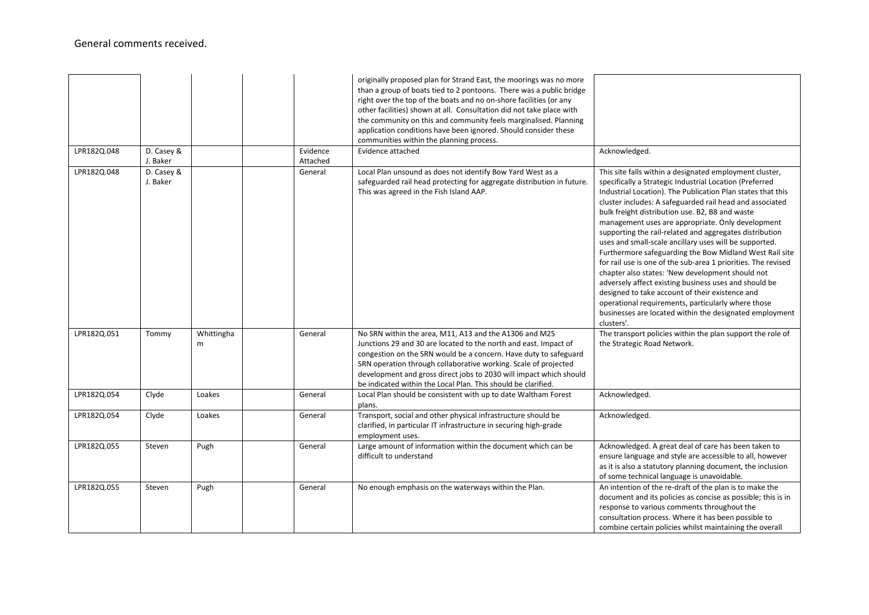|             |                        |                 |                      | originally proposed plan for Strand East, the moorings was no more<br>than a group of boats tied to 2 pontoons. There was a public bridge<br>right over the top of the boats and no on-shore facilities (or any<br>other facilities) shown at all. Consultation did not take place with<br>the community on this and community feels marginalised. Planning<br>application conditions have been ignored. Should consider these<br>communities within the planning process. |                                                                                                                                                                                                                                                                                                                                                                                                                                                                                                                                                                                                                                                                                                                                                                                                                                                                                                       |
|-------------|------------------------|-----------------|----------------------|----------------------------------------------------------------------------------------------------------------------------------------------------------------------------------------------------------------------------------------------------------------------------------------------------------------------------------------------------------------------------------------------------------------------------------------------------------------------------|-------------------------------------------------------------------------------------------------------------------------------------------------------------------------------------------------------------------------------------------------------------------------------------------------------------------------------------------------------------------------------------------------------------------------------------------------------------------------------------------------------------------------------------------------------------------------------------------------------------------------------------------------------------------------------------------------------------------------------------------------------------------------------------------------------------------------------------------------------------------------------------------------------|
| LPR182Q.048 | D. Casey &<br>J. Baker |                 | Evidence<br>Attached | Evidence attached                                                                                                                                                                                                                                                                                                                                                                                                                                                          | Acknowledged.                                                                                                                                                                                                                                                                                                                                                                                                                                                                                                                                                                                                                                                                                                                                                                                                                                                                                         |
| LPR182Q.048 | D. Casey &<br>J. Baker |                 | General              | Local Plan unsound as does not identify Bow Yard West as a<br>safeguarded rail head protecting for aggregate distribution in future.<br>This was agreed in the Fish Island AAP.                                                                                                                                                                                                                                                                                            | This site falls within a designated employment cluster,<br>specifically a Strategic Industrial Location (Preferred<br>Industrial Location). The Publication Plan states that this<br>cluster includes: A safeguarded rail head and associated<br>bulk freight distribution use. B2, B8 and waste<br>management uses are appropriate. Only development<br>supporting the rail-related and aggregates distribution<br>uses and small-scale ancillary uses will be supported.<br>Furthermore safeguarding the Bow Midland West Rail site<br>for rail use is one of the sub-area 1 priorities. The revised<br>chapter also states: 'New development should not<br>adversely affect existing business uses and should be<br>designed to take account of their existence and<br>operational requirements, particularly where those<br>businesses are located within the designated employment<br>clusters'. |
| LPR182Q.051 | Tommy                  | Whittingha<br>m | General              | No SRN within the area, M11, A13 and the A1306 and M25<br>Junctions 29 and 30 are located to the north and east. Impact of<br>congestion on the SRN would be a concern. Have duty to safeguard<br>SRN operation through collaborative working. Scale of projected<br>development and gross direct jobs to 2030 will impact which should<br>be indicated within the Local Plan. This should be clarified.                                                                   | The transport policies within the plan support the role of<br>the Strategic Road Network.                                                                                                                                                                                                                                                                                                                                                                                                                                                                                                                                                                                                                                                                                                                                                                                                             |
| LPR182Q.054 | Clyde                  | Loakes          | General              | Local Plan should be consistent with up to date Waltham Forest<br>plans.                                                                                                                                                                                                                                                                                                                                                                                                   | Acknowledged.                                                                                                                                                                                                                                                                                                                                                                                                                                                                                                                                                                                                                                                                                                                                                                                                                                                                                         |
| LPR182Q.054 | Clyde                  | Loakes          | General              | Transport, social and other physical infrastructure should be<br>clarified, in particular IT infrastructure in securing high-grade<br>employment uses.                                                                                                                                                                                                                                                                                                                     | Acknowledged.                                                                                                                                                                                                                                                                                                                                                                                                                                                                                                                                                                                                                                                                                                                                                                                                                                                                                         |
| LPR182Q.055 | Steven                 | Pugh            | General              | Large amount of information within the document which can be<br>difficult to understand                                                                                                                                                                                                                                                                                                                                                                                    | Acknowledged. A great deal of care has been taken to<br>ensure language and style are accessible to all, however<br>as it is also a statutory planning document, the inclusion<br>of some technical language is unavoidable.                                                                                                                                                                                                                                                                                                                                                                                                                                                                                                                                                                                                                                                                          |
| LPR182Q.055 | Steven                 | Pugh            | General              | No enough emphasis on the waterways within the Plan.                                                                                                                                                                                                                                                                                                                                                                                                                       | An intention of the re-draft of the plan is to make the<br>document and its policies as concise as possible; this is in<br>response to various comments throughout the<br>consultation process. Where it has been possible to<br>combine certain policies whilst maintaining the overall                                                                                                                                                                                                                                                                                                                                                                                                                                                                                                                                                                                                              |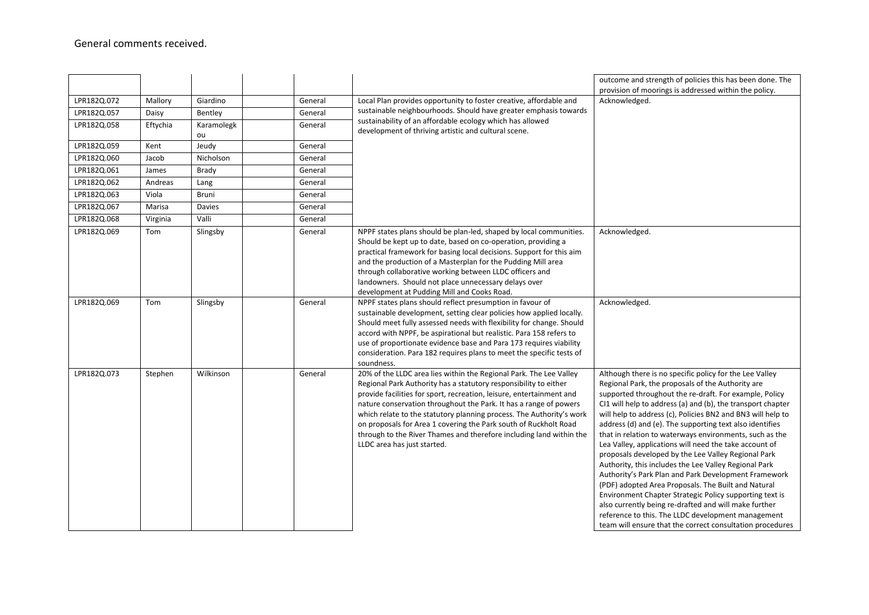|             |          |                  |         |                                                                                                                                                                                                                                                                                                                                                                                                                                                                                                                                       | outcome and strength of policies this has been done. The<br>provision of moorings is addressed within the policy.                                                                                                                                                                                                                                                                                                                                                                                                                                                                                                                                                                                                                                                                                                                                                                                                                                           |
|-------------|----------|------------------|---------|---------------------------------------------------------------------------------------------------------------------------------------------------------------------------------------------------------------------------------------------------------------------------------------------------------------------------------------------------------------------------------------------------------------------------------------------------------------------------------------------------------------------------------------|-------------------------------------------------------------------------------------------------------------------------------------------------------------------------------------------------------------------------------------------------------------------------------------------------------------------------------------------------------------------------------------------------------------------------------------------------------------------------------------------------------------------------------------------------------------------------------------------------------------------------------------------------------------------------------------------------------------------------------------------------------------------------------------------------------------------------------------------------------------------------------------------------------------------------------------------------------------|
| LPR182Q.072 | Mallory  | Giardino         | General | Local Plan provides opportunity to foster creative, affordable and                                                                                                                                                                                                                                                                                                                                                                                                                                                                    | Acknowledged.                                                                                                                                                                                                                                                                                                                                                                                                                                                                                                                                                                                                                                                                                                                                                                                                                                                                                                                                               |
| LPR182Q.057 | Daisy    | Bentley          | General | sustainable neighbourhoods. Should have greater emphasis towards                                                                                                                                                                                                                                                                                                                                                                                                                                                                      |                                                                                                                                                                                                                                                                                                                                                                                                                                                                                                                                                                                                                                                                                                                                                                                                                                                                                                                                                             |
| LPR182Q.058 | Eftychia | Karamolegk<br>ou | General | sustainability of an affordable ecology which has allowed<br>development of thriving artistic and cultural scene.                                                                                                                                                                                                                                                                                                                                                                                                                     |                                                                                                                                                                                                                                                                                                                                                                                                                                                                                                                                                                                                                                                                                                                                                                                                                                                                                                                                                             |
| LPR182Q.059 | Kent     | Jeudy            | General |                                                                                                                                                                                                                                                                                                                                                                                                                                                                                                                                       |                                                                                                                                                                                                                                                                                                                                                                                                                                                                                                                                                                                                                                                                                                                                                                                                                                                                                                                                                             |
| LPR182Q.060 | Jacob    | Nicholson        | General |                                                                                                                                                                                                                                                                                                                                                                                                                                                                                                                                       |                                                                                                                                                                                                                                                                                                                                                                                                                                                                                                                                                                                                                                                                                                                                                                                                                                                                                                                                                             |
| LPR182Q.061 | James    | Brady            | General |                                                                                                                                                                                                                                                                                                                                                                                                                                                                                                                                       |                                                                                                                                                                                                                                                                                                                                                                                                                                                                                                                                                                                                                                                                                                                                                                                                                                                                                                                                                             |
| LPR182Q.062 | Andreas  | Lang             | General |                                                                                                                                                                                                                                                                                                                                                                                                                                                                                                                                       |                                                                                                                                                                                                                                                                                                                                                                                                                                                                                                                                                                                                                                                                                                                                                                                                                                                                                                                                                             |
| LPR182Q.063 | Viola    | Bruni            | General |                                                                                                                                                                                                                                                                                                                                                                                                                                                                                                                                       |                                                                                                                                                                                                                                                                                                                                                                                                                                                                                                                                                                                                                                                                                                                                                                                                                                                                                                                                                             |
| LPR182Q.067 | Marisa   | Davies           | General |                                                                                                                                                                                                                                                                                                                                                                                                                                                                                                                                       |                                                                                                                                                                                                                                                                                                                                                                                                                                                                                                                                                                                                                                                                                                                                                                                                                                                                                                                                                             |
| LPR182Q.068 | Virginia | Valli            | General |                                                                                                                                                                                                                                                                                                                                                                                                                                                                                                                                       |                                                                                                                                                                                                                                                                                                                                                                                                                                                                                                                                                                                                                                                                                                                                                                                                                                                                                                                                                             |
| LPR182Q.069 | Tom      | Slingsby         | General | NPPF states plans should be plan-led, shaped by local communities.<br>Should be kept up to date, based on co-operation, providing a<br>practical framework for basing local decisions. Support for this aim<br>and the production of a Masterplan for the Pudding Mill area<br>through collaborative working between LLDC officers and<br>landowners. Should not place unnecessary delays over<br>development at Pudding Mill and Cooks Road.                                                                                         | Acknowledged.                                                                                                                                                                                                                                                                                                                                                                                                                                                                                                                                                                                                                                                                                                                                                                                                                                                                                                                                               |
| LPR182Q.069 | Tom      | Slingsby         | General | NPPF states plans should reflect presumption in favour of<br>sustainable development, setting clear policies how applied locally.<br>Should meet fully assessed needs with flexibility for change. Should<br>accord with NPPF, be aspirational but realistic. Para 158 refers to<br>use of proportionate evidence base and Para 173 requires viability<br>consideration. Para 182 requires plans to meet the specific tests of<br>soundness.                                                                                          | Acknowledged.                                                                                                                                                                                                                                                                                                                                                                                                                                                                                                                                                                                                                                                                                                                                                                                                                                                                                                                                               |
| LPR182Q.073 | Stephen  | Wilkinson        | General | 20% of the LLDC area lies within the Regional Park. The Lee Valley<br>Regional Park Authority has a statutory responsibility to either<br>provide facilities for sport, recreation, leisure, entertainment and<br>nature conservation throughout the Park. It has a range of powers<br>which relate to the statutory planning process. The Authority's work<br>on proposals for Area 1 covering the Park south of Ruckholt Road<br>through to the River Thames and therefore including land within the<br>LLDC area has just started. | Although there is no specific policy for the Lee Valley<br>Regional Park, the proposals of the Authority are<br>supported throughout the re-draft. For example, Policy<br>CI1 will help to address (a) and (b), the transport chapter<br>will help to address (c), Policies BN2 and BN3 will help to<br>address (d) and (e). The supporting text also identifies<br>that in relation to waterways environments, such as the<br>Lea Valley, applications will need the take account of<br>proposals developed by the Lee Valley Regional Park<br>Authority, this includes the Lee Valley Regional Park<br>Authority's Park Plan and Park Development Framework<br>(PDF) adopted Area Proposals. The Built and Natural<br>Environment Chapter Strategic Policy supporting text is<br>also currently being re-drafted and will make further<br>reference to this. The LLDC development management<br>team will ensure that the correct consultation procedures |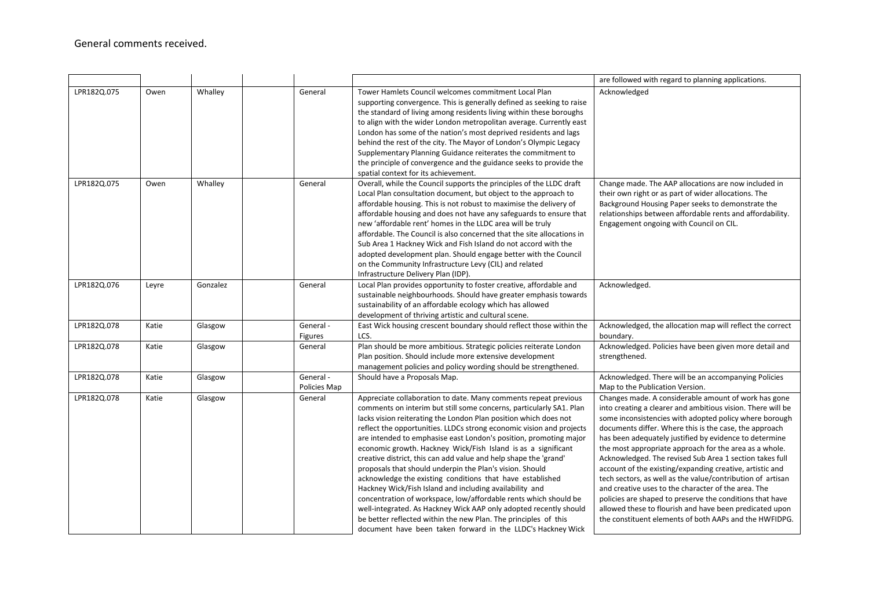|             |       |          |                             |                                                                                                                                                                                                                                                                                                                                                                                                                                                                                                                                                                                                                                                                                                                                                                                                                                                                                                                                                             | are followed with regard to planning applications.                                                                                                                                                                                                                                                                                                                                                                                                                                                                                                                                                                                                                                                                                                                                       |
|-------------|-------|----------|-----------------------------|-------------------------------------------------------------------------------------------------------------------------------------------------------------------------------------------------------------------------------------------------------------------------------------------------------------------------------------------------------------------------------------------------------------------------------------------------------------------------------------------------------------------------------------------------------------------------------------------------------------------------------------------------------------------------------------------------------------------------------------------------------------------------------------------------------------------------------------------------------------------------------------------------------------------------------------------------------------|------------------------------------------------------------------------------------------------------------------------------------------------------------------------------------------------------------------------------------------------------------------------------------------------------------------------------------------------------------------------------------------------------------------------------------------------------------------------------------------------------------------------------------------------------------------------------------------------------------------------------------------------------------------------------------------------------------------------------------------------------------------------------------------|
| LPR182Q.075 | Owen  | Whalley  | General                     | Tower Hamlets Council welcomes commitment Local Plan<br>supporting convergence. This is generally defined as seeking to raise<br>the standard of living among residents living within these boroughs<br>to align with the wider London metropolitan average. Currently east<br>London has some of the nation's most deprived residents and lags<br>behind the rest of the city. The Mayor of London's Olympic Legacy<br>Supplementary Planning Guidance reiterates the commitment to<br>the principle of convergence and the guidance seeks to provide the<br>spatial context for its achievement.                                                                                                                                                                                                                                                                                                                                                          | Acknowledged                                                                                                                                                                                                                                                                                                                                                                                                                                                                                                                                                                                                                                                                                                                                                                             |
| LPR182Q.075 | Owen  | Whalley  | General                     | Overall, while the Council supports the principles of the LLDC draft<br>Local Plan consultation document, but object to the approach to<br>affordable housing. This is not robust to maximise the delivery of<br>affordable housing and does not have any safeguards to ensure that<br>new 'affordable rent' homes in the LLDC area will be truly<br>affordable. The Council is also concerned that the site allocations in<br>Sub Area 1 Hackney Wick and Fish Island do not accord with the<br>adopted development plan. Should engage better with the Council<br>on the Community Infrastructure Levy (CIL) and related<br>Infrastructure Delivery Plan (IDP).                                                                                                                                                                                                                                                                                           | Change made. The AAP allocations are now included in<br>their own right or as part of wider allocations. The<br>Background Housing Paper seeks to demonstrate the<br>relationships between affordable rents and affordability.<br>Engagement ongoing with Council on CIL.                                                                                                                                                                                                                                                                                                                                                                                                                                                                                                                |
| LPR182Q.076 | Leyre | Gonzalez | General                     | Local Plan provides opportunity to foster creative, affordable and<br>sustainable neighbourhoods. Should have greater emphasis towards<br>sustainability of an affordable ecology which has allowed<br>development of thriving artistic and cultural scene.                                                                                                                                                                                                                                                                                                                                                                                                                                                                                                                                                                                                                                                                                                 | Acknowledged.                                                                                                                                                                                                                                                                                                                                                                                                                                                                                                                                                                                                                                                                                                                                                                            |
| LPR182Q.078 | Katie | Glasgow  | General -<br><b>Figures</b> | East Wick housing crescent boundary should reflect those within the<br>LCS.                                                                                                                                                                                                                                                                                                                                                                                                                                                                                                                                                                                                                                                                                                                                                                                                                                                                                 | Acknowledged, the allocation map will reflect the correct<br>boundary.                                                                                                                                                                                                                                                                                                                                                                                                                                                                                                                                                                                                                                                                                                                   |
| LPR182Q.078 | Katie | Glasgow  | General                     | Plan should be more ambitious. Strategic policies reiterate London<br>Plan position. Should include more extensive development<br>management policies and policy wording should be strengthened.                                                                                                                                                                                                                                                                                                                                                                                                                                                                                                                                                                                                                                                                                                                                                            | Acknowledged. Policies have been given more detail and<br>strengthened.                                                                                                                                                                                                                                                                                                                                                                                                                                                                                                                                                                                                                                                                                                                  |
| LPR182Q.078 | Katie | Glasgow  | General -<br>Policies Map   | Should have a Proposals Map.                                                                                                                                                                                                                                                                                                                                                                                                                                                                                                                                                                                                                                                                                                                                                                                                                                                                                                                                | Acknowledged. There will be an accompanying Policies<br>Map to the Publication Version.                                                                                                                                                                                                                                                                                                                                                                                                                                                                                                                                                                                                                                                                                                  |
| LPR182Q.078 | Katie | Glasgow  | General                     | Appreciate collaboration to date. Many comments repeat previous<br>comments on interim but still some concerns, particularly SA1. Plan<br>lacks vision reiterating the London Plan position which does not<br>reflect the opportunities. LLDCs strong economic vision and projects<br>are intended to emphasise east London's position, promoting major<br>economic growth. Hackney Wick/Fish Island is as a significant<br>creative district, this can add value and help shape the 'grand'<br>proposals that should underpin the Plan's vision. Should<br>acknowledge the existing conditions that have established<br>Hackney Wick/Fish Island and including availability and<br>concentration of workspace, low/affordable rents which should be<br>well-integrated. As Hackney Wick AAP only adopted recently should<br>be better reflected within the new Plan. The principles of this<br>document have been taken forward in the LLDC's Hackney Wick | Changes made. A considerable amount of work has gone<br>into creating a clearer and ambitious vision. There will be<br>some inconsistencies with adopted policy where borough<br>documents differ. Where this is the case, the approach<br>has been adequately justified by evidence to determine<br>the most appropriate approach for the area as a whole.<br>Acknowledged. The revised Sub Area 1 section takes full<br>account of the existing/expanding creative, artistic and<br>tech sectors, as well as the value/contribution of artisan<br>and creative uses to the character of the area. The<br>policies are shaped to preserve the conditions that have<br>allowed these to flourish and have been predicated upon<br>the constituent elements of both AAPs and the HWFIDPG. |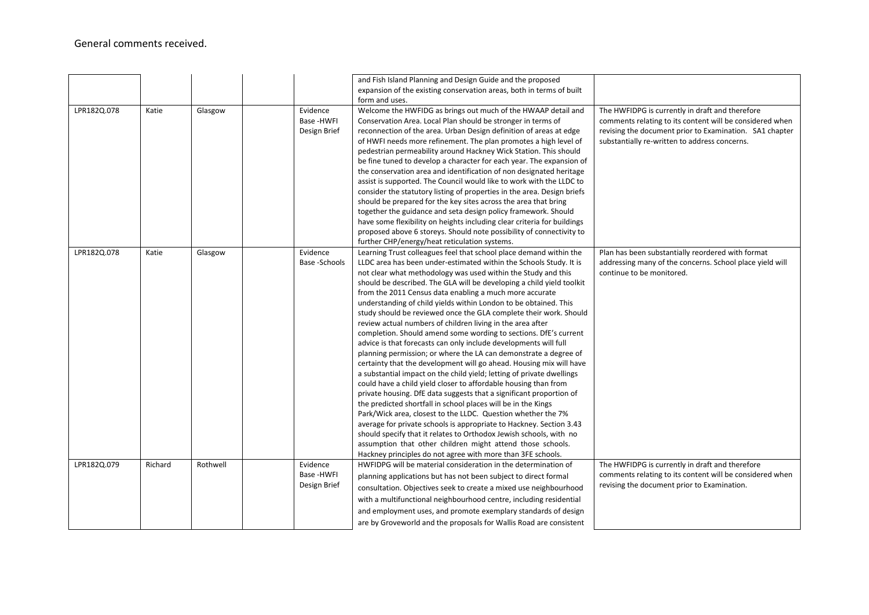## General comments received.

|             |         |          |                                        |               | and Fish Island Planning and Design Guide and the proposed<br>expansion of the existing conservation areas, both in terms of built<br>form and uses.                                                                                                                                                                                                                                                                                                                                                                                                                                                                                                                                                                                                                                                                                                                                                                                                                                                                                                                                                                                                                                                                                                                                                                                                                                                                                                                  |                                                                                                                                                                                                                         |
|-------------|---------|----------|----------------------------------------|---------------|-----------------------------------------------------------------------------------------------------------------------------------------------------------------------------------------------------------------------------------------------------------------------------------------------------------------------------------------------------------------------------------------------------------------------------------------------------------------------------------------------------------------------------------------------------------------------------------------------------------------------------------------------------------------------------------------------------------------------------------------------------------------------------------------------------------------------------------------------------------------------------------------------------------------------------------------------------------------------------------------------------------------------------------------------------------------------------------------------------------------------------------------------------------------------------------------------------------------------------------------------------------------------------------------------------------------------------------------------------------------------------------------------------------------------------------------------------------------------|-------------------------------------------------------------------------------------------------------------------------------------------------------------------------------------------------------------------------|
| LPR182Q.078 | Katie   | Glasgow  | Evidence<br>Base -HWFI<br>Design Brief |               | Welcome the HWFIDG as brings out much of the HWAAP detail and<br>Conservation Area. Local Plan should be stronger in terms of<br>reconnection of the area. Urban Design definition of areas at edge<br>of HWFI needs more refinement. The plan promotes a high level of<br>pedestrian permeability around Hackney Wick Station. This should<br>be fine tuned to develop a character for each year. The expansion of<br>the conservation area and identification of non designated heritage<br>assist is supported. The Council would like to work with the LLDC to<br>consider the statutory listing of properties in the area. Design briefs<br>should be prepared for the key sites across the area that bring<br>together the guidance and seta design policy framework. Should<br>have some flexibility on heights including clear criteria for buildings<br>proposed above 6 storeys. Should note possibility of connectivity to<br>further CHP/energy/heat reticulation systems.                                                                                                                                                                                                                                                                                                                                                                                                                                                                                | The HWFIDPG is currently in draft and therefore<br>comments relating to its content will be considered when<br>revising the document prior to Examination. SA1 chapter<br>substantially re-written to address concerns. |
| LPR182Q.078 | Katie   | Glasgow  | Evidence                               | Base -Schools | Learning Trust colleagues feel that school place demand within the<br>LLDC area has been under-estimated within the Schools Study. It is<br>not clear what methodology was used within the Study and this<br>should be described. The GLA will be developing a child yield toolkit<br>from the 2011 Census data enabling a much more accurate<br>understanding of child yields within London to be obtained. This<br>study should be reviewed once the GLA complete their work. Should<br>review actual numbers of children living in the area after<br>completion. Should amend some wording to sections. DfE's current<br>advice is that forecasts can only include developments will full<br>planning permission; or where the LA can demonstrate a degree of<br>certainty that the development will go ahead. Housing mix will have<br>a substantial impact on the child yield; letting of private dwellings<br>could have a child yield closer to affordable housing than from<br>private housing. DfE data suggests that a significant proportion of<br>the predicted shortfall in school places will be in the Kings<br>Park/Wick area, closest to the LLDC. Question whether the 7%<br>average for private schools is appropriate to Hackney. Section 3.43<br>should specify that it relates to Orthodox Jewish schools, with no<br>assumption that other children might attend those schools.<br>Hackney principles do not agree with more than 3FE schools. | Plan has been substantially reordered with format<br>addressing many of the concerns. School place yield will<br>continue to be monitored.                                                                              |
| LPR182Q.079 | Richard | Rothwell | Evidence<br>Base -HWFI<br>Design Brief |               | HWFIDPG will be material consideration in the determination of<br>planning applications but has not been subject to direct formal<br>consultation. Objectives seek to create a mixed use neighbourhood<br>with a multifunctional neighbourhood centre, including residential<br>and employment uses, and promote exemplary standards of design<br>are by Groveworld and the proposals for Wallis Road are consistent                                                                                                                                                                                                                                                                                                                                                                                                                                                                                                                                                                                                                                                                                                                                                                                                                                                                                                                                                                                                                                                  | The HWFIDPG is currently in draft and therefore<br>comments relating to its content will be considered when<br>revising the document prior to Examination.                                                              |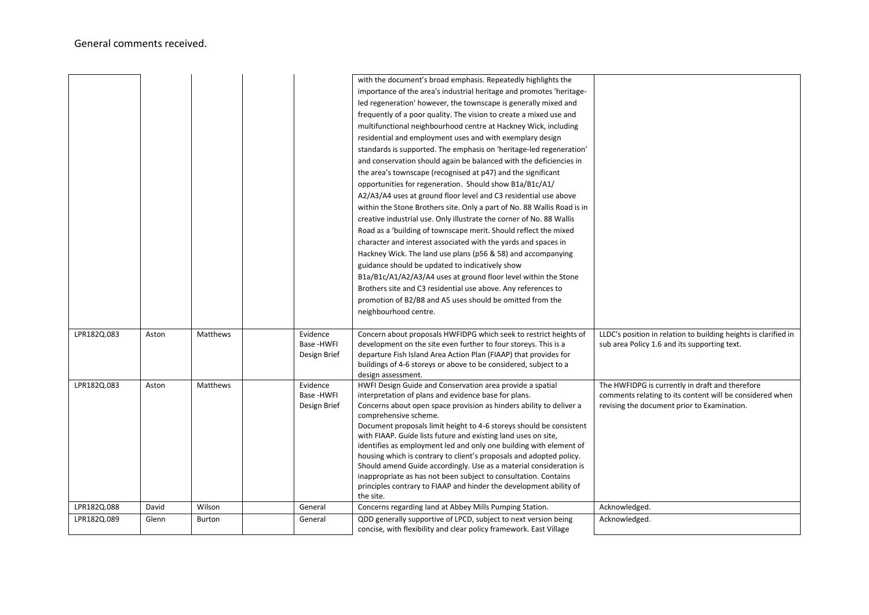|             |       |          |              | with the document's broad emphasis. Repeatedly highlights the<br>importance of the area's industrial heritage and promotes 'heritage- |                                                                 |
|-------------|-------|----------|--------------|---------------------------------------------------------------------------------------------------------------------------------------|-----------------------------------------------------------------|
|             |       |          |              | led regeneration' however, the townscape is generally mixed and                                                                       |                                                                 |
|             |       |          |              | frequently of a poor quality. The vision to create a mixed use and                                                                    |                                                                 |
|             |       |          |              | multifunctional neighbourhood centre at Hackney Wick, including                                                                       |                                                                 |
|             |       |          |              | residential and employment uses and with exemplary design                                                                             |                                                                 |
|             |       |          |              | standards is supported. The emphasis on 'heritage-led regeneration'                                                                   |                                                                 |
|             |       |          |              | and conservation should again be balanced with the deficiencies in                                                                    |                                                                 |
|             |       |          |              | the area's townscape (recognised at p47) and the significant                                                                          |                                                                 |
|             |       |          |              | opportunities for regeneration. Should show B1a/B1c/A1/                                                                               |                                                                 |
|             |       |          |              | A2/A3/A4 uses at ground floor level and C3 residential use above                                                                      |                                                                 |
|             |       |          |              | within the Stone Brothers site. Only a part of No. 88 Wallis Road is in                                                               |                                                                 |
|             |       |          |              | creative industrial use. Only illustrate the corner of No. 88 Wallis                                                                  |                                                                 |
|             |       |          |              | Road as a 'building of townscape merit. Should reflect the mixed                                                                      |                                                                 |
|             |       |          |              | character and interest associated with the yards and spaces in                                                                        |                                                                 |
|             |       |          |              | Hackney Wick. The land use plans (p56 & 58) and accompanying                                                                          |                                                                 |
|             |       |          |              | guidance should be updated to indicatively show                                                                                       |                                                                 |
|             |       |          |              | B1a/B1c/A1/A2/A3/A4 uses at ground floor level within the Stone                                                                       |                                                                 |
|             |       |          |              | Brothers site and C3 residential use above. Any references to                                                                         |                                                                 |
|             |       |          |              | promotion of B2/B8 and A5 uses should be omitted from the                                                                             |                                                                 |
|             |       |          |              | neighbourhood centre.                                                                                                                 |                                                                 |
|             |       |          |              |                                                                                                                                       |                                                                 |
| LPR182Q.083 | Aston | Matthews | Evidence     | Concern about proposals HWFIDPG which seek to restrict heights of                                                                     | LLDC's position in relation to building heights is clarified in |
|             |       |          | Base -HWFI   | development on the site even further to four storeys. This is a                                                                       | sub area Policy 1.6 and its supporting text.                    |
|             |       |          | Design Brief | departure Fish Island Area Action Plan (FIAAP) that provides for<br>buildings of 4-6 storeys or above to be considered, subject to a  |                                                                 |
|             |       |          |              | design assessment.                                                                                                                    |                                                                 |
| LPR182Q.083 | Aston | Matthews | Evidence     | HWFI Design Guide and Conservation area provide a spatial                                                                             | The HWFIDPG is currently in draft and therefore                 |
|             |       |          | Base -HWFI   | interpretation of plans and evidence base for plans.                                                                                  | comments relating to its content will be considered when        |
|             |       |          | Design Brief | Concerns about open space provision as hinders ability to deliver a                                                                   | revising the document prior to Examination.                     |
|             |       |          |              | comprehensive scheme.                                                                                                                 |                                                                 |
|             |       |          |              | Document proposals limit height to 4-6 storeys should be consistent                                                                   |                                                                 |
|             |       |          |              | with FIAAP. Guide lists future and existing land uses on site,<br>identifies as employment led and only one building with element of  |                                                                 |
|             |       |          |              | housing which is contrary to client's proposals and adopted policy.                                                                   |                                                                 |
|             |       |          |              | Should amend Guide accordingly. Use as a material consideration is                                                                    |                                                                 |
|             |       |          |              | inappropriate as has not been subject to consultation. Contains                                                                       |                                                                 |
|             |       |          |              | principles contrary to FIAAP and hinder the development ability of                                                                    |                                                                 |
|             |       |          |              | the site.                                                                                                                             |                                                                 |
| LPR182Q.088 | David | Wilson   | General      | Concerns regarding land at Abbey Mills Pumping Station.                                                                               | Acknowledged.                                                   |
| LPR182Q.089 | Glenn | Burton   | General      | QDD generally supportive of LPCD, subject to next version being<br>concise, with flexibility and clear policy framework. East Village | Acknowledged.                                                   |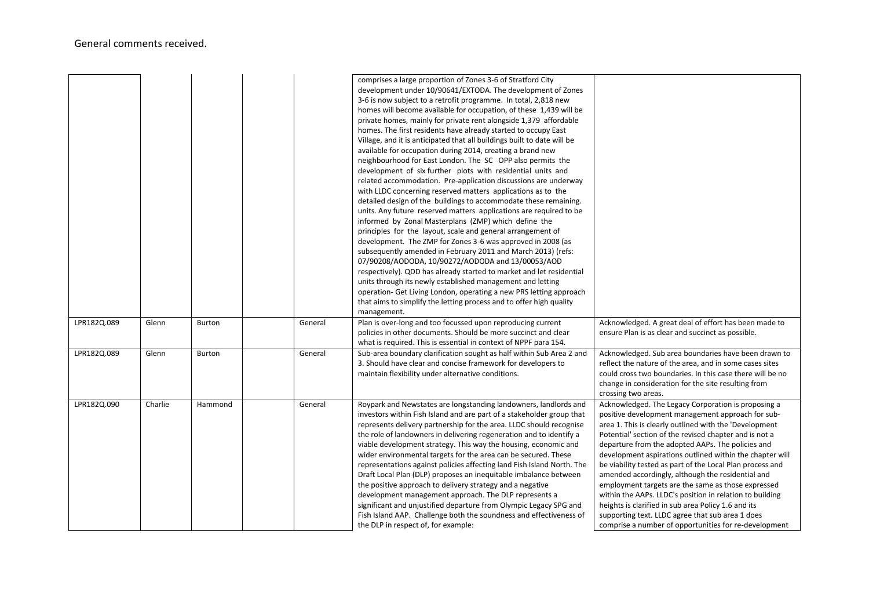|             |         |         |         | comprises a large proportion of Zones 3-6 of Stratford City<br>development under 10/90641/EXTODA. The development of Zones<br>3-6 is now subject to a retrofit programme. In total, 2,818 new<br>homes will become available for occupation, of these 1,439 will be<br>private homes, mainly for private rent alongside 1,379 affordable<br>homes. The first residents have already started to occupy East<br>Village, and it is anticipated that all buildings built to date will be<br>available for occupation during 2014, creating a brand new<br>neighbourhood for East London. The SC OPP also permits the<br>development of six further plots with residential units and<br>related accommodation. Pre-application discussions are underway<br>with LLDC concerning reserved matters applications as to the<br>detailed design of the buildings to accommodate these remaining.<br>units. Any future reserved matters applications are required to be<br>informed by Zonal Masterplans (ZMP) which define the<br>principles for the layout, scale and general arrangement of<br>development. The ZMP for Zones 3-6 was approved in 2008 (as<br>subsequently amended in February 2011 and March 2013) (refs:<br>07/90208/AODODA, 10/90272/AODODA and 13/00053/AOD<br>respectively). QDD has already started to market and let residential<br>units through its newly established management and letting<br>operation- Get Living London, operating a new PRS letting approach<br>that aims to simplify the letting process and to offer high quality<br>management. |                                                                                                                                                                                                                                                                                                                                                                                                                                                                                                                                                                                                                                                                                                                                                       |
|-------------|---------|---------|---------|----------------------------------------------------------------------------------------------------------------------------------------------------------------------------------------------------------------------------------------------------------------------------------------------------------------------------------------------------------------------------------------------------------------------------------------------------------------------------------------------------------------------------------------------------------------------------------------------------------------------------------------------------------------------------------------------------------------------------------------------------------------------------------------------------------------------------------------------------------------------------------------------------------------------------------------------------------------------------------------------------------------------------------------------------------------------------------------------------------------------------------------------------------------------------------------------------------------------------------------------------------------------------------------------------------------------------------------------------------------------------------------------------------------------------------------------------------------------------------------------------------------------------------------------------------------------------|-------------------------------------------------------------------------------------------------------------------------------------------------------------------------------------------------------------------------------------------------------------------------------------------------------------------------------------------------------------------------------------------------------------------------------------------------------------------------------------------------------------------------------------------------------------------------------------------------------------------------------------------------------------------------------------------------------------------------------------------------------|
| LPR182Q.089 | Glenn   | Burton  | General | Plan is over-long and too focussed upon reproducing current<br>policies in other documents. Should be more succinct and clear<br>what is required. This is essential in context of NPPF para 154.                                                                                                                                                                                                                                                                                                                                                                                                                                                                                                                                                                                                                                                                                                                                                                                                                                                                                                                                                                                                                                                                                                                                                                                                                                                                                                                                                                          | Acknowledged. A great deal of effort has been made to<br>ensure Plan is as clear and succinct as possible.                                                                                                                                                                                                                                                                                                                                                                                                                                                                                                                                                                                                                                            |
| LPR182Q.089 | Glenn   | Burton  | General | Sub-area boundary clarification sought as half within Sub Area 2 and<br>3. Should have clear and concise framework for developers to<br>maintain flexibility under alternative conditions.                                                                                                                                                                                                                                                                                                                                                                                                                                                                                                                                                                                                                                                                                                                                                                                                                                                                                                                                                                                                                                                                                                                                                                                                                                                                                                                                                                                 | Acknowledged. Sub area boundaries have been drawn to<br>reflect the nature of the area, and in some cases sites<br>could cross two boundaries. In this case there will be no<br>change in consideration for the site resulting from<br>crossing two areas.                                                                                                                                                                                                                                                                                                                                                                                                                                                                                            |
| LPR182Q.090 | Charlie | Hammond | General | Roypark and Newstates are longstanding landowners, landlords and<br>investors within Fish Island and are part of a stakeholder group that<br>represents delivery partnership for the area. LLDC should recognise<br>the role of landowners in delivering regeneration and to identify a<br>viable development strategy. This way the housing, economic and<br>wider environmental targets for the area can be secured. These<br>representations against policies affecting land Fish Island North. The<br>Draft Local Plan (DLP) proposes an inequitable imbalance between<br>the positive approach to delivery strategy and a negative<br>development management approach. The DLP represents a<br>significant and unjustified departure from Olympic Legacy SPG and<br>Fish Island AAP. Challenge both the soundness and effectiveness of<br>the DLP in respect of, for example:                                                                                                                                                                                                                                                                                                                                                                                                                                                                                                                                                                                                                                                                                         | Acknowledged. The Legacy Corporation is proposing a<br>positive development management approach for sub-<br>area 1. This is clearly outlined with the 'Development<br>Potential' section of the revised chapter and is not a<br>departure from the adopted AAPs. The policies and<br>development aspirations outlined within the chapter will<br>be viability tested as part of the Local Plan process and<br>amended accordingly, although the residential and<br>employment targets are the same as those expressed<br>within the AAPs. LLDC's position in relation to building<br>heights is clarified in sub area Policy 1.6 and its<br>supporting text. LLDC agree that sub area 1 does<br>comprise a number of opportunities for re-development |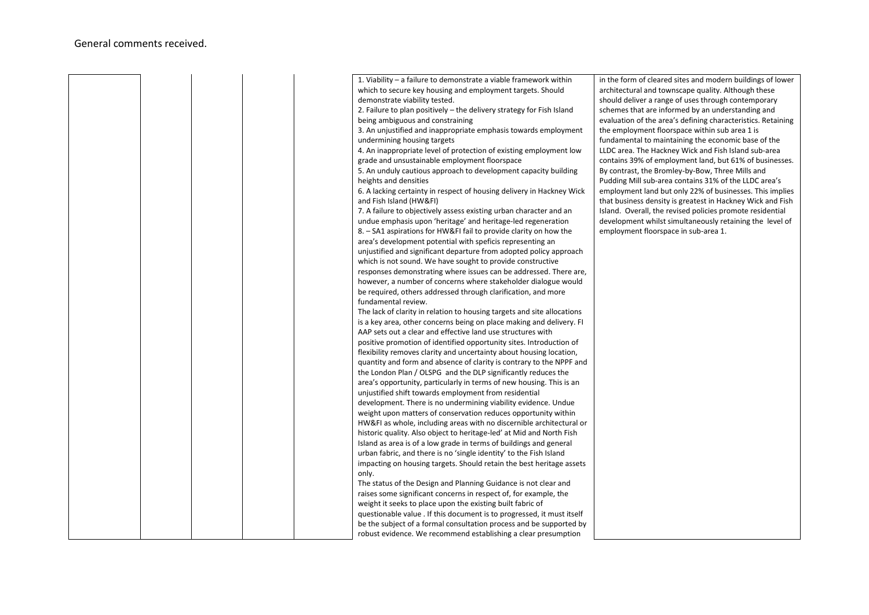|  |  | 1. Viability – a failure to demonstrate a viable framework within       | in the form of cleared sites and modern buildings of lower   |
|--|--|-------------------------------------------------------------------------|--------------------------------------------------------------|
|  |  | which to secure key housing and employment targets. Should              | architectural and townscape quality. Although these          |
|  |  | demonstrate viability tested.                                           | should deliver a range of uses through contemporary          |
|  |  | 2. Failure to plan positively - the delivery strategy for Fish Island   | schemes that are informed by an understanding and            |
|  |  | being ambiguous and constraining                                        | evaluation of the area's defining characteristics. Retaining |
|  |  | 3. An unjustified and inappropriate emphasis towards employment         | the employment floorspace within sub area 1 is               |
|  |  | undermining housing targets                                             | fundamental to maintaining the economic base of the          |
|  |  | 4. An inappropriate level of protection of existing employment low      | LLDC area. The Hackney Wick and Fish Island sub-area         |
|  |  | grade and unsustainable employment floorspace                           | contains 39% of employment land, but 61% of businesses.      |
|  |  | 5. An unduly cautious approach to development capacity building         | By contrast, the Bromley-by-Bow, Three Mills and             |
|  |  | heights and densities                                                   | Pudding Mill sub-area contains 31% of the LLDC area's        |
|  |  | 6. A lacking certainty in respect of housing delivery in Hackney Wick   | employment land but only 22% of businesses. This implies     |
|  |  | and Fish Island (HW&FI)                                                 | that business density is greatest in Hackney Wick and Fish   |
|  |  | 7. A failure to objectively assess existing urban character and an      | Island. Overall, the revised policies promote residential    |
|  |  | undue emphasis upon 'heritage' and heritage-led regeneration            | development whilst simultaneously retaining the level of     |
|  |  | 8. – SA1 aspirations for HW&FI fail to provide clarity on how the       | employment floorspace in sub-area 1.                         |
|  |  | area's development potential with speficis representing an              |                                                              |
|  |  | unjustified and significant departure from adopted policy approach      |                                                              |
|  |  | which is not sound. We have sought to provide constructive              |                                                              |
|  |  | responses demonstrating where issues can be addressed. There are,       |                                                              |
|  |  | however, a number of concerns where stakeholder dialogue would          |                                                              |
|  |  | be required, others addressed through clarification, and more           |                                                              |
|  |  | fundamental review.                                                     |                                                              |
|  |  | The lack of clarity in relation to housing targets and site allocations |                                                              |
|  |  | is a key area, other concerns being on place making and delivery. FI    |                                                              |
|  |  | AAP sets out a clear and effective land use structures with             |                                                              |
|  |  | positive promotion of identified opportunity sites. Introduction of     |                                                              |
|  |  | flexibility removes clarity and uncertainty about housing location,     |                                                              |
|  |  | quantity and form and absence of clarity is contrary to the NPPF and    |                                                              |
|  |  | the London Plan / OLSPG and the DLP significantly reduces the           |                                                              |
|  |  | area's opportunity, particularly in terms of new housing. This is an    |                                                              |
|  |  | unjustified shift towards employment from residential                   |                                                              |
|  |  | development. There is no undermining viability evidence. Undue          |                                                              |
|  |  | weight upon matters of conservation reduces opportunity within          |                                                              |
|  |  | HW&FI as whole, including areas with no discernible architectural or    |                                                              |
|  |  | historic quality. Also object to heritage-led' at Mid and North Fish    |                                                              |
|  |  | Island as area is of a low grade in terms of buildings and general      |                                                              |
|  |  | urban fabric, and there is no 'single identity' to the Fish Island      |                                                              |
|  |  | impacting on housing targets. Should retain the best heritage assets    |                                                              |
|  |  | only.                                                                   |                                                              |
|  |  | The status of the Design and Planning Guidance is not clear and         |                                                              |
|  |  | raises some significant concerns in respect of, for example, the        |                                                              |
|  |  | weight it seeks to place upon the existing built fabric of              |                                                              |
|  |  | questionable value . If this document is to progressed, it must itself  |                                                              |
|  |  | be the subject of a formal consultation process and be supported by     |                                                              |
|  |  | robust evidence. We recommend establishing a clear presumption          |                                                              |
|  |  |                                                                         |                                                              |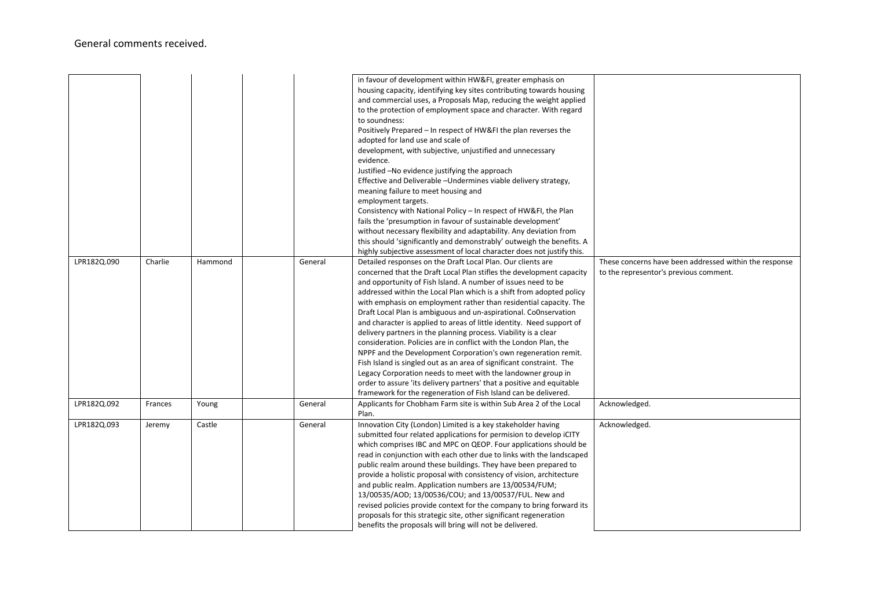## General comments received.

|             |         |         |         | in favour of development within HW&FI, greater emphasis on<br>housing capacity, identifying key sites contributing towards housing<br>and commercial uses, a Proposals Map, reducing the weight applied<br>to the protection of employment space and character. With regard<br>to soundness:<br>Positively Prepared - In respect of HW&FI the plan reverses the<br>adopted for land use and scale of<br>development, with subjective, unjustified and unnecessary<br>evidence.<br>Justified -No evidence justifying the approach<br>Effective and Deliverable -Undermines viable delivery strategy,<br>meaning failure to meet housing and<br>employment targets.<br>Consistency with National Policy - In respect of HW&FI, the Plan<br>fails the 'presumption in favour of sustainable development'<br>without necessary flexibility and adaptability. Any deviation from<br>this should 'significantly and demonstrably' outweigh the benefits. A<br>highly subjective assessment of local character does not justify this. |                                                                                                  |
|-------------|---------|---------|---------|--------------------------------------------------------------------------------------------------------------------------------------------------------------------------------------------------------------------------------------------------------------------------------------------------------------------------------------------------------------------------------------------------------------------------------------------------------------------------------------------------------------------------------------------------------------------------------------------------------------------------------------------------------------------------------------------------------------------------------------------------------------------------------------------------------------------------------------------------------------------------------------------------------------------------------------------------------------------------------------------------------------------------------|--------------------------------------------------------------------------------------------------|
| LPR182Q.090 | Charlie | Hammond | General | Detailed responses on the Draft Local Plan. Our clients are<br>concerned that the Draft Local Plan stifles the development capacity<br>and opportunity of Fish Island. A number of issues need to be<br>addressed within the Local Plan which is a shift from adopted policy<br>with emphasis on employment rather than residential capacity. The<br>Draft Local Plan is ambiguous and un-aspirational. Co0nservation<br>and character is applied to areas of little identity. Need support of<br>delivery partners in the planning process. Viability is a clear<br>consideration. Policies are in conflict with the London Plan, the<br>NPPF and the Development Corporation's own regeneration remit.<br>Fish Island is singled out as an area of significant constraint. The<br>Legacy Corporation needs to meet with the landowner group in<br>order to assure 'its delivery partners' that a positive and equitable<br>framework for the regeneration of Fish Island can be delivered.                                   | These concerns have been addressed within the response<br>to the representor's previous comment. |
| LPR182Q.092 | Frances | Young   | General | Applicants for Chobham Farm site is within Sub Area 2 of the Local<br>Plan.                                                                                                                                                                                                                                                                                                                                                                                                                                                                                                                                                                                                                                                                                                                                                                                                                                                                                                                                                    | Acknowledged.                                                                                    |
| LPR182Q.093 | Jeremy  | Castle  | General | Innovation City (London) Limited is a key stakeholder having<br>submitted four related applications for permision to develop iCITY<br>which comprises IBC and MPC on QEOP. Four applications should be<br>read in conjunction with each other due to links with the landscaped<br>public realm around these buildings. They have been prepared to<br>provide a holistic proposal with consistency of vision, architecture<br>and public realm. Application numbers are 13/00534/FUM;<br>13/00535/AOD; 13/00536/COU; and 13/00537/FUL. New and<br>revised policies provide context for the company to bring forward its<br>proposals for this strategic site, other significant regeneration<br>benefits the proposals will bring will not be delivered.                                                                                                                                                                                                                                                                        | Acknowledged.                                                                                    |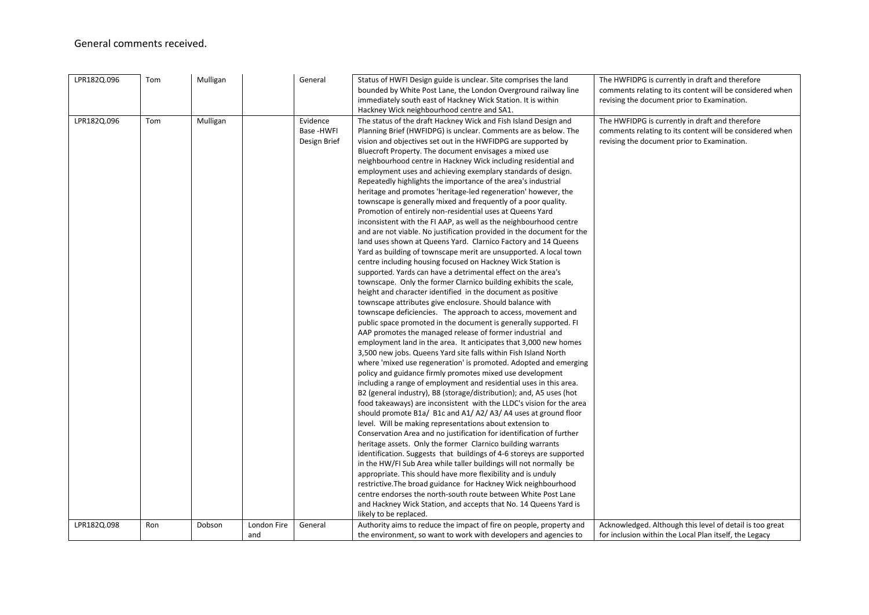## General comments received.

| LPR182Q.096 | Tom | Mulligan |                    | General                                | Status of HWFI Design guide is unclear. Site comprises the land<br>bounded by White Post Lane, the London Overground railway line<br>immediately south east of Hackney Wick Station. It is within<br>Hackney Wick neighbourhood centre and SA1.                                                                                                                                                                                                                                                                                                                                                                                                                                                                                                                                                                                                                                                                                                                                                                                                                                                                                                                                                                                                                                                                                                                                                                                                                                                                                                                                                                                                                                                                                                                                                                                                                                                                                                                                                                                                                                                                                                                                                                                                                                                                                                                                                                                                                                                                                                                                                                                                                                                        | The HWFIDPG is currently in draft and therefore<br>comments relating to its content will be considered when<br>revising the document prior to Examination. |
|-------------|-----|----------|--------------------|----------------------------------------|--------------------------------------------------------------------------------------------------------------------------------------------------------------------------------------------------------------------------------------------------------------------------------------------------------------------------------------------------------------------------------------------------------------------------------------------------------------------------------------------------------------------------------------------------------------------------------------------------------------------------------------------------------------------------------------------------------------------------------------------------------------------------------------------------------------------------------------------------------------------------------------------------------------------------------------------------------------------------------------------------------------------------------------------------------------------------------------------------------------------------------------------------------------------------------------------------------------------------------------------------------------------------------------------------------------------------------------------------------------------------------------------------------------------------------------------------------------------------------------------------------------------------------------------------------------------------------------------------------------------------------------------------------------------------------------------------------------------------------------------------------------------------------------------------------------------------------------------------------------------------------------------------------------------------------------------------------------------------------------------------------------------------------------------------------------------------------------------------------------------------------------------------------------------------------------------------------------------------------------------------------------------------------------------------------------------------------------------------------------------------------------------------------------------------------------------------------------------------------------------------------------------------------------------------------------------------------------------------------------------------------------------------------------------------------------------------------|------------------------------------------------------------------------------------------------------------------------------------------------------------|
| LPR182Q.096 | Tom | Mulligan |                    | Evidence<br>Base -HWFI<br>Design Brief | The status of the draft Hackney Wick and Fish Island Design and<br>Planning Brief (HWFIDPG) is unclear. Comments are as below. The<br>vision and objectives set out in the HWFIDPG are supported by<br>Bluecroft Property. The document envisages a mixed use<br>neighbourhood centre in Hackney Wick including residential and<br>employment uses and achieving exemplary standards of design.<br>Repeatedly highlights the importance of the area's industrial<br>heritage and promotes 'heritage-led regeneration' however, the<br>townscape is generally mixed and frequently of a poor quality.<br>Promotion of entirely non-residential uses at Queens Yard<br>inconsistent with the FI AAP, as well as the neighbourhood centre<br>and are not viable. No justification provided in the document for the<br>land uses shown at Queens Yard. Clarnico Factory and 14 Queens<br>Yard as building of townscape merit are unsupported. A local town<br>centre including housing focused on Hackney Wick Station is<br>supported. Yards can have a detrimental effect on the area's<br>townscape. Only the former Clarnico building exhibits the scale,<br>height and character identified in the document as positive<br>townscape attributes give enclosure. Should balance with<br>townscape deficiencies. The approach to access, movement and<br>public space promoted in the document is generally supported. FI<br>AAP promotes the managed release of former industrial and<br>employment land in the area. It anticipates that 3,000 new homes<br>3,500 new jobs. Queens Yard site falls within Fish Island North<br>where 'mixed use regeneration' is promoted. Adopted and emerging<br>policy and guidance firmly promotes mixed use development<br>including a range of employment and residential uses in this area.<br>B2 (general industry), B8 (storage/distribution); and, A5 uses (hot<br>food takeaways) are inconsistent with the LLDC's vision for the area<br>should promote B1a/ B1c and A1/ A2/ A3/ A4 uses at ground floor<br>level. Will be making representations about extension to<br>Conservation Area and no justification for identification of further<br>heritage assets. Only the former Clarnico building warrants<br>identification. Suggests that buildings of 4-6 storeys are supported<br>in the HW/FI Sub Area while taller buildings will not normally be<br>appropriate. This should have more flexibility and is unduly<br>restrictive. The broad guidance for Hackney Wick neighbourhood<br>centre endorses the north-south route between White Post Lane<br>and Hackney Wick Station, and accepts that No. 14 Queens Yard is<br>likely to be replaced. | The HWFIDPG is currently in draft and therefore<br>comments relating to its content will be considered when<br>revising the document prior to Examination. |
| LPR182Q.098 | Ron | Dobson   | London Fire<br>and | General                                | Authority aims to reduce the impact of fire on people, property and<br>the environment, so want to work with developers and agencies to                                                                                                                                                                                                                                                                                                                                                                                                                                                                                                                                                                                                                                                                                                                                                                                                                                                                                                                                                                                                                                                                                                                                                                                                                                                                                                                                                                                                                                                                                                                                                                                                                                                                                                                                                                                                                                                                                                                                                                                                                                                                                                                                                                                                                                                                                                                                                                                                                                                                                                                                                                | Acknowledged. Although this level of detail is too great<br>for inclusion within the Local Plan itself, the Legacy                                         |